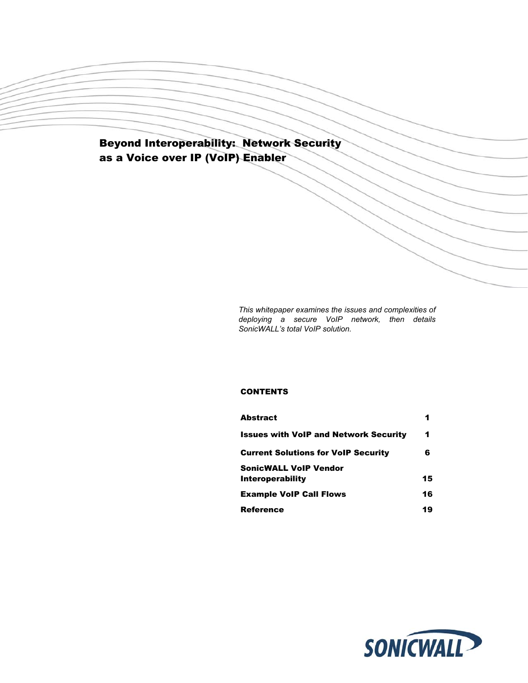# Beyond Interoperability: Network Security as a Voice over IP (VoIP) Enabler

*This whitepaper examines the issues and complexities of deploying a secure VoIP network, then details SonicWALL's total VoIP solution.* 

## **CONTENTS**

| <b>Abstract</b>                              |    |
|----------------------------------------------|----|
| <b>Issues with VoIP and Network Security</b> | 1  |
| <b>Current Solutions for VoIP Security</b>   | 6  |
| <b>SonicWALL VoIP Vendor</b>                 |    |
| <b>Interoperability</b>                      | 15 |
| <b>Example VoIP Call Flows</b>               | 16 |
| <b>Reference</b>                             | 19 |

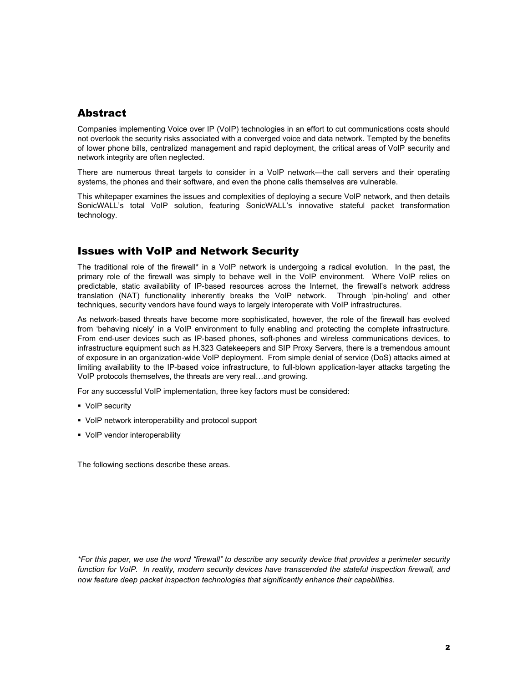## **Abstract**

Companies implementing Voice over IP (VoIP) technologies in an effort to cut communications costs should not overlook the security risks associated with a converged voice and data network. Tempted by the benefits of lower phone bills, centralized management and rapid deployment, the critical areas of VoIP security and network integrity are often neglected.

There are numerous threat targets to consider in a VoIP network—the call servers and their operating systems, the phones and their software, and even the phone calls themselves are vulnerable.

This whitepaper examines the issues and complexities of deploying a secure VoIP network, and then details SonicWALL's total VoIP solution, featuring SonicWALL's innovative stateful packet transformation technology.

## Issues with VoIP and Network Security

The traditional role of the firewall\* in a VoIP network is undergoing a radical evolution. In the past, the primary role of the firewall was simply to behave well in the VoIP environment. Where VoIP relies on predictable, static availability of IP-based resources across the Internet, the firewall's network address translation (NAT) functionality inherently breaks the VoIP network. Through 'pin-holing' and other techniques, security vendors have found ways to largely interoperate with VoIP infrastructures.

As network-based threats have become more sophisticated, however, the role of the firewall has evolved from 'behaving nicely' in a VoIP environment to fully enabling and protecting the complete infrastructure. From end-user devices such as IP-based phones, soft-phones and wireless communications devices, to infrastructure equipment such as H.323 Gatekeepers and SIP Proxy Servers, there is a tremendous amount of exposure in an organization-wide VoIP deployment. From simple denial of service (DoS) attacks aimed at limiting availability to the IP-based voice infrastructure, to full-blown application-layer attacks targeting the VoIP protocols themselves, the threats are very real…and growing.

For any successful VoIP implementation, three key factors must be considered:

- VoIP security
- VoIP network interoperability and protocol support
- VoIP vendor interoperability

The following sections describe these areas.

*\*For this paper, we use the word "firewall" to describe any security device that provides a perimeter security*  function for VoIP. In reality, modern security devices have transcended the stateful inspection firewall, and *now feature deep packet inspection technologies that significantly enhance their capabilities.*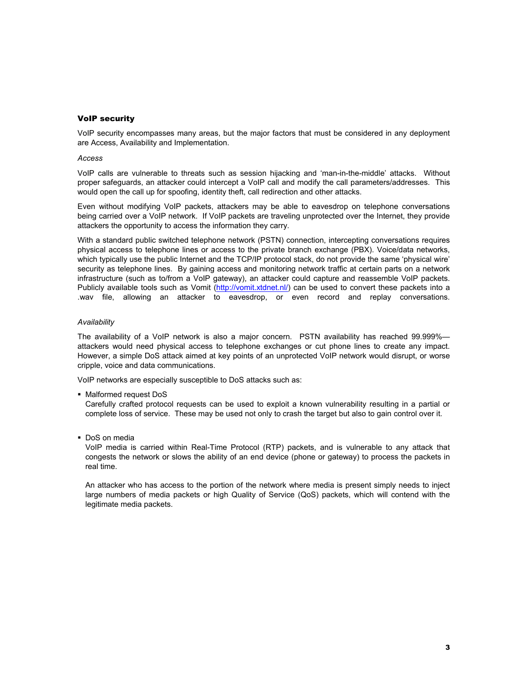### VoIP security

VoIP security encompasses many areas, but the major factors that must be considered in any deployment are Access, Availability and Implementation.

#### *Access*

VoIP calls are vulnerable to threats such as session hijacking and 'man-in-the-middle' attacks. Without proper safeguards, an attacker could intercept a VoIP call and modify the call parameters/addresses. This would open the call up for spoofing, identity theft, call redirection and other attacks.

Even without modifying VoIP packets, attackers may be able to eavesdrop on telephone conversations being carried over a VoIP network. If VoIP packets are traveling unprotected over the Internet, they provide attackers the opportunity to access the information they carry.

With a standard public switched telephone network (PSTN) connection, intercepting conversations requires physical access to telephone lines or access to the private branch exchange (PBX). Voice/data networks, which typically use the public Internet and the TCP/IP protocol stack, do not provide the same 'physical wire' security as telephone lines. By gaining access and monitoring network traffic at certain parts on a network infrastructure (such as to/from a VoIP gateway), an attacker could capture and reassemble VoIP packets. Publicly available tools such as Vomit (http://vomit.xtdnet.nl/) can be used to convert these packets into a .wav file, allowing an attacker to eavesdrop, or even record and replay conversations.

#### *Availability*

The availability of a VoIP network is also a major concern. PSTN availability has reached 99.999% attackers would need physical access to telephone exchanges or cut phone lines to create any impact. However, a simple DoS attack aimed at key points of an unprotected VoIP network would disrupt, or worse cripple, voice and data communications.

VoIP networks are especially susceptible to DoS attacks such as:

• Malformed request DoS

Carefully crafted protocol requests can be used to exploit a known vulnerability resulting in a partial or complete loss of service. These may be used not only to crash the target but also to gain control over it.

• DoS on media

VoIP media is carried within Real-Time Protocol (RTP) packets, and is vulnerable to any attack that congests the network or slows the ability of an end device (phone or gateway) to process the packets in real time.

An attacker who has access to the portion of the network where media is present simply needs to inject large numbers of media packets or high Quality of Service (QoS) packets, which will contend with the legitimate media packets.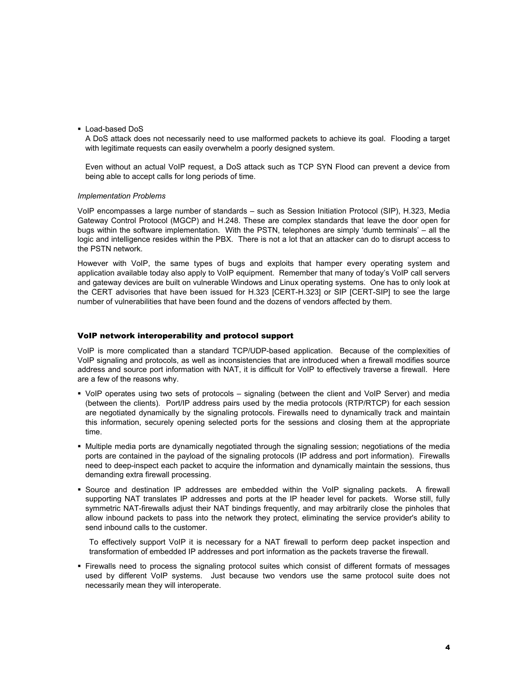Load-based DoS

A DoS attack does not necessarily need to use malformed packets to achieve its goal. Flooding a target with legitimate requests can easily overwhelm a poorly designed system.

Even without an actual VoIP request, a DoS attack such as TCP SYN Flood can prevent a device from being able to accept calls for long periods of time.

#### *Implementation Problems*

VoIP encompasses a large number of standards – such as Session Initiation Protocol (SIP), H.323, Media Gateway Control Protocol (MGCP) and H.248. These are complex standards that leave the door open for bugs within the software implementation. With the PSTN, telephones are simply 'dumb terminals' – all the logic and intelligence resides within the PBX. There is not a lot that an attacker can do to disrupt access to the PSTN network.

However with VoIP, the same types of bugs and exploits that hamper every operating system and application available today also apply to VoIP equipment. Remember that many of today's VoIP call servers and gateway devices are built on vulnerable Windows and Linux operating systems. One has to only look at the CERT advisories that have been issued for H.323 [CERT-H.323] or SIP [CERT-SIP] to see the large number of vulnerabilities that have been found and the dozens of vendors affected by them.

#### VoIP network interoperability and protocol support

VoIP is more complicated than a standard TCP/UDP-based application. Because of the complexities of VoIP signaling and protocols, as well as inconsistencies that are introduced when a firewall modifies source address and source port information with NAT, it is difficult for VoIP to effectively traverse a firewall. Here are a few of the reasons why.

- VoIP operates using two sets of protocols signaling (between the client and VoIP Server) and media (between the clients). Port/IP address pairs used by the media protocols (RTP/RTCP) for each session are negotiated dynamically by the signaling protocols. Firewalls need to dynamically track and maintain this information, securely opening selected ports for the sessions and closing them at the appropriate time.
- Multiple media ports are dynamically negotiated through the signaling session; negotiations of the media ports are contained in the payload of the signaling protocols (IP address and port information). Firewalls need to deep-inspect each packet to acquire the information and dynamically maintain the sessions, thus demanding extra firewall processing.
- Source and destination IP addresses are embedded within the VoIP signaling packets. A firewall supporting NAT translates IP addresses and ports at the IP header level for packets. Worse still, fully symmetric NAT-firewalls adjust their NAT bindings frequently, and may arbitrarily close the pinholes that allow inbound packets to pass into the network they protect, eliminating the service provider's ability to send inbound calls to the customer.

To effectively support VoIP it is necessary for a NAT firewall to perform deep packet inspection and transformation of embedded IP addresses and port information as the packets traverse the firewall.

 Firewalls need to process the signaling protocol suites which consist of different formats of messages used by different VoIP systems. Just because two vendors use the same protocol suite does not necessarily mean they will interoperate.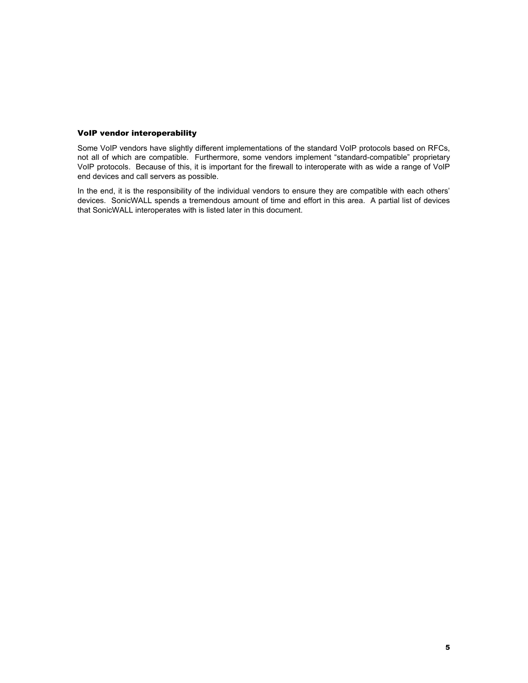### VoIP vendor interoperability

Some VoIP vendors have slightly different implementations of the standard VoIP protocols based on RFCs, not all of which are compatible. Furthermore, some vendors implement "standard-compatible" proprietary VoIP protocols. Because of this, it is important for the firewall to interoperate with as wide a range of VoIP end devices and call servers as possible.

In the end, it is the responsibility of the individual vendors to ensure they are compatible with each others' devices. SonicWALL spends a tremendous amount of time and effort in this area. A partial list of devices that SonicWALL interoperates with is listed later in this document.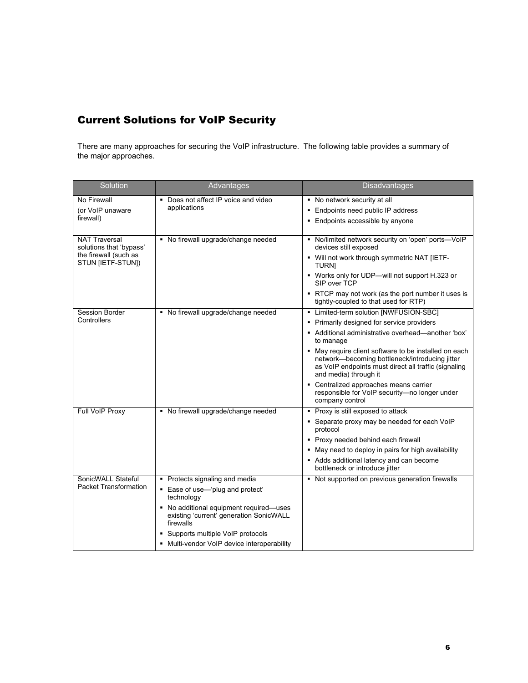# Current Solutions for VoIP Security

There are many approaches for securing the VoIP infrastructure. The following table provides a summary of the major approaches.

| Solution                                        | Advantages                                                                                      | <b>Disadvantages</b>                                                                                                                                                                     |
|-------------------------------------------------|-------------------------------------------------------------------------------------------------|------------------------------------------------------------------------------------------------------------------------------------------------------------------------------------------|
| No Firewall                                     | Does not affect IP voice and video<br>applications                                              | • No network security at all                                                                                                                                                             |
| (or VoIP unaware<br>firewall)                   |                                                                                                 | • Endpoints need public IP address                                                                                                                                                       |
|                                                 |                                                                                                 | • Endpoints accessible by anyone                                                                                                                                                         |
| <b>NAT Traversal</b><br>solutions that 'bypass' | • No firewall upgrade/change needed                                                             | - No/limited network security on 'open' ports-VoIP<br>devices still exposed                                                                                                              |
| the firewall (such as<br>STUN [IETF-STUN])      |                                                                                                 | - Will not work through symmetric NAT [IETF-<br><b>TURNI</b>                                                                                                                             |
|                                                 |                                                                                                 | • Works only for UDP-will not support H.323 or<br>SIP over TCP                                                                                                                           |
|                                                 |                                                                                                 | • RTCP may not work (as the port number it uses is<br>tightly-coupled to that used for RTP)                                                                                              |
| Session Border                                  | • No firewall upgrade/change needed                                                             | - Limited-term solution [NWFUSION-SBC]                                                                                                                                                   |
| Controllers                                     |                                                                                                 | • Primarily designed for service providers                                                                                                                                               |
|                                                 |                                                                                                 | Additional administrative overhead—another 'box'<br>to manage                                                                                                                            |
|                                                 |                                                                                                 | • May require client software to be installed on each<br>network-becoming bottleneck/introducing jitter<br>as VoIP endpoints must direct all traffic (signaling<br>and media) through it |
|                                                 |                                                                                                 | • Centralized approaches means carrier<br>responsible for VoIP security-no longer under<br>company control                                                                               |
| Full VoIP Proxy                                 | • No firewall upgrade/change needed                                                             | • Proxy is still exposed to attack                                                                                                                                                       |
|                                                 |                                                                                                 | • Separate proxy may be needed for each VoIP<br>protocol                                                                                                                                 |
|                                                 |                                                                                                 | • Proxy needed behind each firewall                                                                                                                                                      |
|                                                 |                                                                                                 | • May need to deploy in pairs for high availability                                                                                                                                      |
|                                                 |                                                                                                 | Adds additional latency and can become<br>bottleneck or introduce jitter                                                                                                                 |
| SonicWALL Stateful                              | • Protects signaling and media                                                                  | Not supported on previous generation firewalls<br>۰.                                                                                                                                     |
| <b>Packet Transformation</b>                    | • Ease of use-'plug and protect'<br>technology                                                  |                                                                                                                                                                                          |
|                                                 | • No additional equipment required—uses<br>existing 'current' generation SonicWALL<br>firewalls |                                                                                                                                                                                          |
|                                                 | Supports multiple VoIP protocols                                                                |                                                                                                                                                                                          |
|                                                 | • Multi-vendor VoIP device interoperability                                                     |                                                                                                                                                                                          |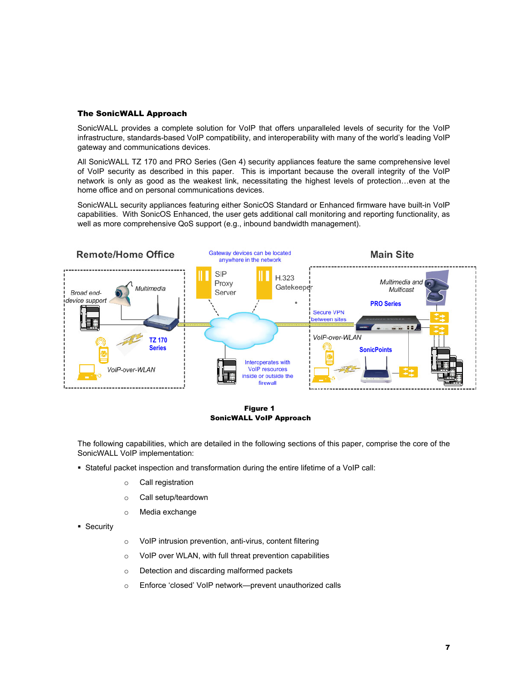#### The SonicWALL Approach

SonicWALL provides a complete solution for VoIP that offers unparalleled levels of security for the VoIP infrastructure, standards-based VoIP compatibility, and interoperability with many of the world's leading VoIP gateway and communications devices.

All SonicWALL TZ 170 and PRO Series (Gen 4) security appliances feature the same comprehensive level of VoIP security as described in this paper. This is important because the overall integrity of the VoIP network is only as good as the weakest link, necessitating the highest levels of protection…even at the home office and on personal communications devices.

SonicWALL security appliances featuring either SonicOS Standard or Enhanced firmware have built-in VoIP capabilities. With SonicOS Enhanced, the user gets additional call monitoring and reporting functionality, as well as more comprehensive QoS support (e.g., inbound bandwidth management).



Figure 1 SonicWALL VoIP Approach

The following capabilities, which are detailed in the following sections of this paper, comprise the core of the SonicWALL VoIP implementation:

- Stateful packet inspection and transformation during the entire lifetime of a VoIP call:
	- o Call registration
	- o Call setup/teardown
	- o Media exchange
- **Security**
- o VoIP intrusion prevention, anti-virus, content filtering
- o VoIP over WLAN, with full threat prevention capabilities
- o Detection and discarding malformed packets
- o Enforce 'closed' VoIP network—prevent unauthorized calls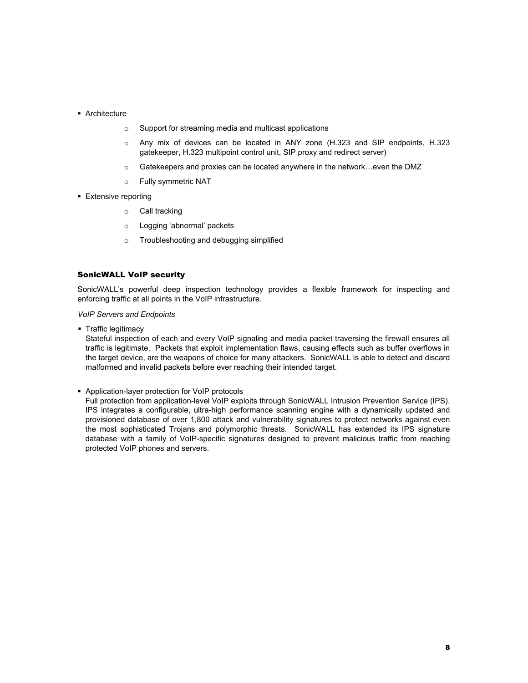- **Architecture** 
	- o Support for streaming media and multicast applications
	- o Any mix of devices can be located in ANY zone (H.323 and SIP endpoints, H.323 gatekeeper, H.323 multipoint control unit, SIP proxy and redirect server)
	- o Gatekeepers and proxies can be located anywhere in the network…even the DMZ
	- o Fully symmetric NAT
- **Extensive reporting** 
	- o Call tracking
	- o Logging 'abnormal' packets
	- o Troubleshooting and debugging simplified

#### SonicWALL VoIP security

SonicWALL's powerful deep inspection technology provides a flexible framework for inspecting and enforcing traffic at all points in the VoIP infrastructure.

#### *VoIP Servers and Endpoints*

• Traffic legitimacy

Stateful inspection of each and every VoIP signaling and media packet traversing the firewall ensures all traffic is legitimate. Packets that exploit implementation flaws, causing effects such as buffer overflows in the target device, are the weapons of choice for many attackers. SonicWALL is able to detect and discard malformed and invalid packets before ever reaching their intended target.

Application-layer protection for VoIP protocols

Full protection from application-level VoIP exploits through SonicWALL Intrusion Prevention Service (IPS). IPS integrates a configurable, ultra-high performance scanning engine with a dynamically updated and provisioned database of over 1,800 attack and vulnerability signatures to protect networks against even the most sophisticated Trojans and polymorphic threats. SonicWALL has extended its IPS signature database with a family of VoIP-specific signatures designed to prevent malicious traffic from reaching protected VoIP phones and servers.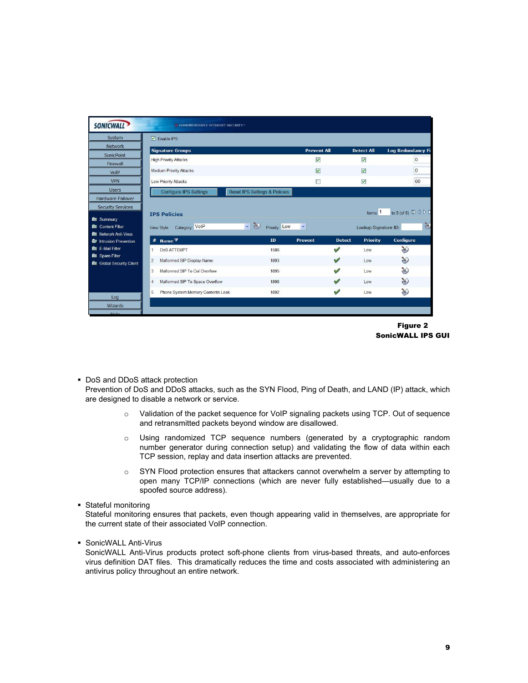| <b>Signature Groups</b><br><b>High Priority Attacks</b> |                                                         | <b>Prevent All</b>            |                                            |                                                               |
|---------------------------------------------------------|---------------------------------------------------------|-------------------------------|--------------------------------------------|---------------------------------------------------------------|
|                                                         |                                                         |                               | <b>Detect All</b>                          | <b>Log Redundancy Fi</b>                                      |
|                                                         |                                                         | $\triangledown$               | $\overline{\mathbf{v}}$                    | $\overline{0}$                                                |
| <b>Medium Priority Attacks</b>                          |                                                         | ☑                             | $\blacktriangledown$                       | $\mathbf{0}$                                                  |
|                                                         |                                                         |                               |                                            |                                                               |
| <b>Low Priority Attacks</b>                             |                                                         | П                             |                                            | 60                                                            |
| <b>Configure IPS Settings</b>                           |                                                         |                               |                                            |                                                               |
| Category: VoIP                                          | $\overline{\mathcal{A}}$<br>Priority: Low               | $\checkmark$                  | Items <sup>1</sup><br>Lookup Signature ID: | to 5 (of 5) $\mathbb{N}$ 4 $\triangleright$ $\mathbb{N}$<br>¥ |
| #                                                       | ID                                                      | Prevent                       | <b>Priority</b>                            | <b>Configure</b>                                              |
| <b>DoS ATTEMPT</b><br>$\mathbf{1}$                      | 1586                                                    |                               | Low                                        | $\gg$                                                         |
| $\overline{2}$<br>Malformed SIP Display-Name            | 1893                                                    |                               | Low.                                       | ≫                                                             |
| Malformed SIP To Col Overflow<br>3                      | 1895                                                    |                               | Low                                        | $\gg$                                                         |
| Malformed SIP To Space Overflow<br>4                    | 1896                                                    | v                             | Low                                        | ₩                                                             |
| Phone System Memory Contents Leak<br>5                  | 1892                                                    | V                             | Low                                        | ≫                                                             |
|                                                         | <b>IPS Policies</b><br>View Style:<br>Name <sup>7</sup> | Reset IPS Settings & Policies | Á<br>✅<br>v                                | $\blacktriangledown$<br><b>Detect</b>                         |



**DoS and DDoS attack protection** 

Prevention of DoS and DDoS attacks, such as the SYN Flood, Ping of Death, and LAND (IP) attack, which are designed to disable a network or service.

- o Validation of the packet sequence for VoIP signaling packets using TCP. Out of sequence and retransmitted packets beyond window are disallowed.
- o Using randomized TCP sequence numbers (generated by a cryptographic random number generator during connection setup) and validating the flow of data within each TCP session, replay and data insertion attacks are prevented.
- $\circ$  SYN Flood protection ensures that attackers cannot overwhelm a server by attempting to open many TCP/IP connections (which are never fully established—usually due to a spoofed source address).
- Stateful monitoring

Stateful monitoring ensures that packets, even though appearing valid in themselves, are appropriate for the current state of their associated VoIP connection.

SonicWALL Anti-Virus

SonicWALL Anti-Virus products protect soft-phone clients from virus-based threats, and auto-enforces virus definition DAT files. This dramatically reduces the time and costs associated with administering an antivirus policy throughout an entire network.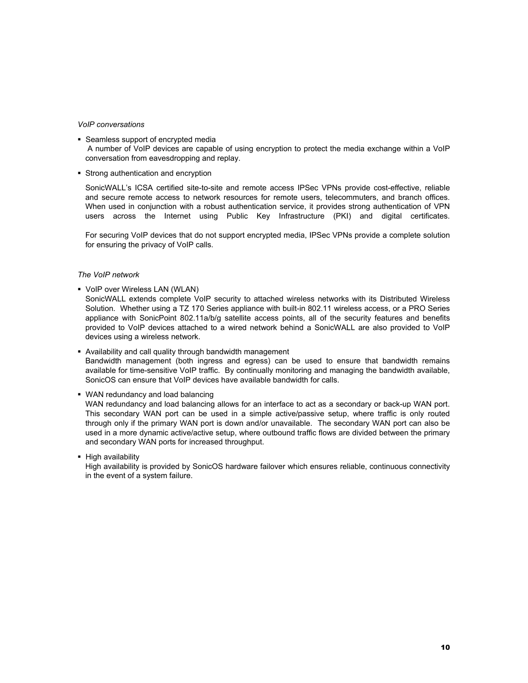#### *VoIP conversations*

- Seamless support of encrypted media A number of VoIP devices are capable of using encryption to protect the media exchange within a VoIP conversation from eavesdropping and replay.
- Strong authentication and encryption

SonicWALL's ICSA certified site-to-site and remote access IPSec VPNs provide cost-effective, reliable and secure remote access to network resources for remote users, telecommuters, and branch offices. When used in conjunction with a robust authentication service, it provides strong authentication of VPN users across the Internet using Public Key Infrastructure (PKI) and digital certificates.

For securing VoIP devices that do not support encrypted media, IPSec VPNs provide a complete solution for ensuring the privacy of VoIP calls.

#### *The VoIP network*

VoIP over Wireless LAN (WLAN)

SonicWALL extends complete VoIP security to attached wireless networks with its Distributed Wireless Solution. Whether using a TZ 170 Series appliance with built-in 802.11 wireless access, or a PRO Series appliance with SonicPoint 802.11a/b/g satellite access points, all of the security features and benefits provided to VoIP devices attached to a wired network behind a SonicWALL are also provided to VoIP devices using a wireless network.

- Availability and call quality through bandwidth management Bandwidth management (both ingress and egress) can be used to ensure that bandwidth remains available for time-sensitive VoIP traffic. By continually monitoring and managing the bandwidth available, SonicOS can ensure that VoIP devices have available bandwidth for calls.
- WAN redundancy and load balancing

WAN redundancy and load balancing allows for an interface to act as a secondary or back-up WAN port. This secondary WAN port can be used in a simple active/passive setup, where traffic is only routed through only if the primary WAN port is down and/or unavailable. The secondary WAN port can also be used in a more dynamic active/active setup, where outbound traffic flows are divided between the primary and secondary WAN ports for increased throughput.

• High availability

High availability is provided by SonicOS hardware failover which ensures reliable, continuous connectivity in the event of a system failure.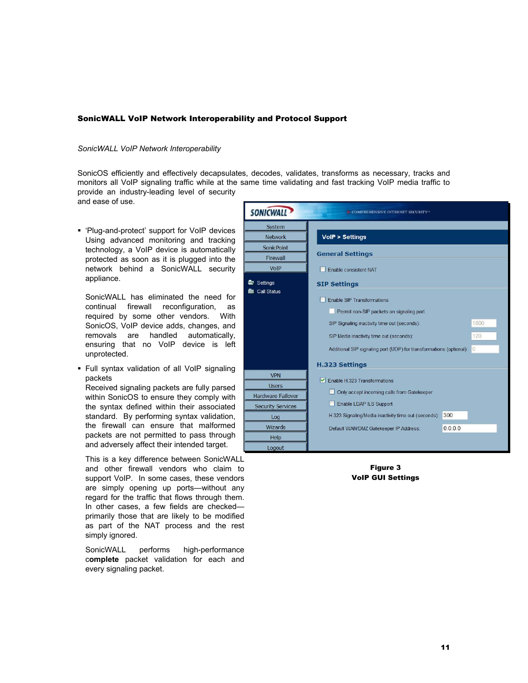## SonicWALL VoIP Network Interoperability and Protocol Support

#### *SonicWALL VoIP Network Interoperability*

SonicOS efficiently and effectively decapsulates, decodes, validates, transforms as necessary, tracks and monitors all VoIP signaling traffic while at the same time validating and fast tracking VoIP media traffic to provide an industry-leading level of security

and ease of use.

 'Plug-and-protect' support for VoIP devices Using advanced monitoring and tracking technology, a VoIP device is automatically protected as soon as it is plugged into the network behind a SonicWALL security appliance.

SonicWALL has eliminated the need for continual firewall reconfiguration, as required by some other vendors. With SonicOS, VoIP device adds, changes, and removals are handled automatically, ensuring that no VoIP device is left unprotected.

 Full syntax validation of all VoIP signaling packets

Received signaling packets are fully parsed within SonicOS to ensure they comply with the syntax defined within their associated standard. By performing syntax validation, the firewall can ensure that malformed packets are not permitted to pass through and adversely affect their intended target.

This is a key difference between SonicWALL and other firewall vendors who claim to support VoIP. In some cases, these vendors are simply opening up ports—without any regard for the traffic that flows through them. In other cases, a few fields are checked primarily those that are likely to be modified as part of the NAT process and the rest simply ignored.

SonicWALL performs high-performance c**omplete** packet validation for each and every signaling packet.

| <b>SONICWALL</b>                     | COMPREHENSIVE INTERNET SECURITY®                                              |                |
|--------------------------------------|-------------------------------------------------------------------------------|----------------|
| System<br><b>Network</b>             | <b>VolP &gt; Settings</b>                                                     |                |
| <b>SonicPoint</b><br><b>Firewall</b> | <b>General Settings</b>                                                       |                |
| VoIP                                 | Enable consistent NAT                                                         |                |
| Settings                             | <b>SIP Settings</b>                                                           |                |
| <b>Call Status</b>                   | <b>Enable SIP Transformations</b><br>Permit non-SIP packets on signaling port |                |
|                                      | SIP Signaling inactivity time out (seconds):                                  | 1800           |
|                                      | SIP Media inactivity time out (seconds):                                      | 120            |
|                                      | Additional SIP signaling port (UDP) for transformations (optional):           | $\overline{0}$ |
|                                      | <b>H.323 Settings</b>                                                         |                |
| <b>VPN</b><br><b>Users</b>           | $\triangleright$ Enable H.323 Transformations                                 |                |
| <b>Hardware Failover</b>             | Only accept incoming calls from Gatekeeper                                    |                |
| <b>Security Services</b>             | Enable LDAP ILS Support                                                       |                |
| Log                                  | H.323 Signaling/Media inactivity time out (seconds):<br>300                   |                |
| <b>Wizards</b>                       | 0.0.0.0<br>Default WAN/DMZ Gatekeeper IP Address:                             |                |
| Help                                 |                                                                               |                |
| Logout                               |                                                                               |                |

Figure 3 VoIP GUI Settings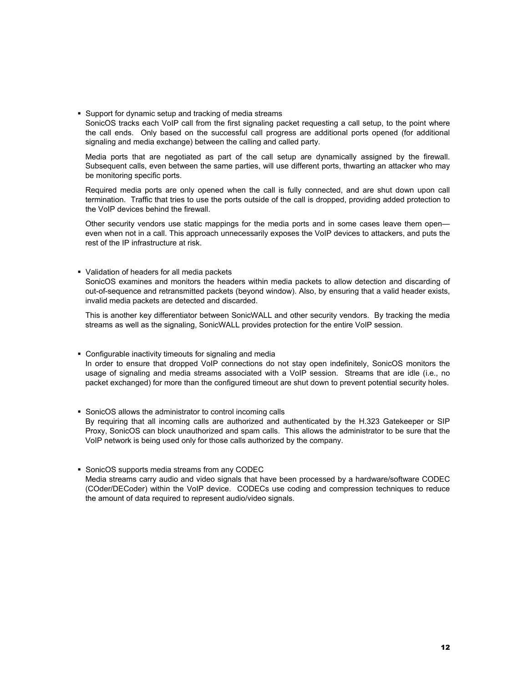Support for dynamic setup and tracking of media streams

SonicOS tracks each VoIP call from the first signaling packet requesting a call setup, to the point where the call ends. Only based on the successful call progress are additional ports opened (for additional signaling and media exchange) between the calling and called party.

Media ports that are negotiated as part of the call setup are dynamically assigned by the firewall. Subsequent calls, even between the same parties, will use different ports, thwarting an attacker who may be monitoring specific ports.

Required media ports are only opened when the call is fully connected, and are shut down upon call termination. Traffic that tries to use the ports outside of the call is dropped, providing added protection to the VoIP devices behind the firewall.

Other security vendors use static mappings for the media ports and in some cases leave them open even when not in a call. This approach unnecessarily exposes the VoIP devices to attackers, and puts the rest of the IP infrastructure at risk.

#### Validation of headers for all media packets

SonicOS examines and monitors the headers within media packets to allow detection and discarding of out-of-sequence and retransmitted packets (beyond window). Also, by ensuring that a valid header exists, invalid media packets are detected and discarded.

This is another key differentiator between SonicWALL and other security vendors. By tracking the media streams as well as the signaling, SonicWALL provides protection for the entire VoIP session.

#### Configurable inactivity timeouts for signaling and media

In order to ensure that dropped VoIP connections do not stay open indefinitely, SonicOS monitors the usage of signaling and media streams associated with a VoIP session. Streams that are idle (i.e., no packet exchanged) for more than the configured timeout are shut down to prevent potential security holes.

#### SonicOS allows the administrator to control incoming calls By requiring that all incoming calls are authorized and authenticated by the H.323 Gatekeeper or SIP Proxy, SonicOS can block unauthorized and spam calls. This allows the administrator to be sure that the VoIP network is being used only for those calls authorized by the company.

#### **SonicOS supports media streams from any CODEC** Media streams carry audio and video signals that have been processed by a hardware/software CODEC (COder/DECoder) within the VoIP device. CODECs use coding and compression techniques to reduce the amount of data required to represent audio/video signals.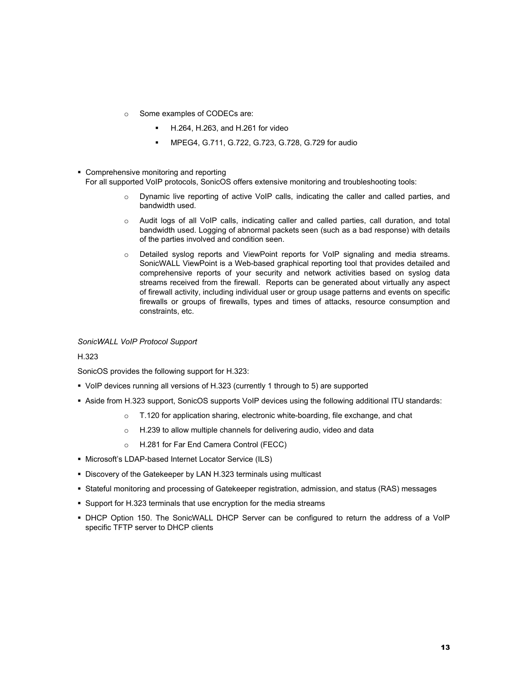- o Some examples of CODECs are:
	- H.264, H.263, and H.261 for video
	- MPEG4, G.711, G.722, G.723, G.728, G.729 for audio
- Comprehensive monitoring and reporting For all supported VoIP protocols, SonicOS offers extensive monitoring and troubleshooting tools:
	- o Dynamic live reporting of active VoIP calls, indicating the caller and called parties, and bandwidth used.
	- $\circ$  Audit logs of all VoIP calls, indicating caller and called parties, call duration, and total bandwidth used. Logging of abnormal packets seen (such as a bad response) with details of the parties involved and condition seen.
	- o Detailed syslog reports and ViewPoint reports for VoIP signaling and media streams. SonicWALL ViewPoint is a Web-based graphical reporting tool that provides detailed and comprehensive reports of your security and network activities based on syslog data streams received from the firewall. Reports can be generated about virtually any aspect of firewall activity, including individual user or group usage patterns and events on specific firewalls or groups of firewalls, types and times of attacks, resource consumption and constraints, etc.

#### *SonicWALL VoIP Protocol Support*

#### H.323

SonicOS provides the following support for H.323:

- VoIP devices running all versions of H.323 (currently 1 through to 5) are supported
- Aside from H.323 support, SonicOS supports VoIP devices using the following additional ITU standards:
	- $\circ$  T.120 for application sharing, electronic white-boarding, file exchange, and chat
	- o H.239 to allow multiple channels for delivering audio, video and data
	- o H.281 for Far End Camera Control (FECC)
- Microsoft's LDAP-based Internet Locator Service (ILS)
- Discovery of the Gatekeeper by LAN H.323 terminals using multicast
- Stateful monitoring and processing of Gatekeeper registration, admission, and status (RAS) messages
- Support for H.323 terminals that use encryption for the media streams
- DHCP Option 150. The SonicWALL DHCP Server can be configured to return the address of a VoIP specific TFTP server to DHCP clients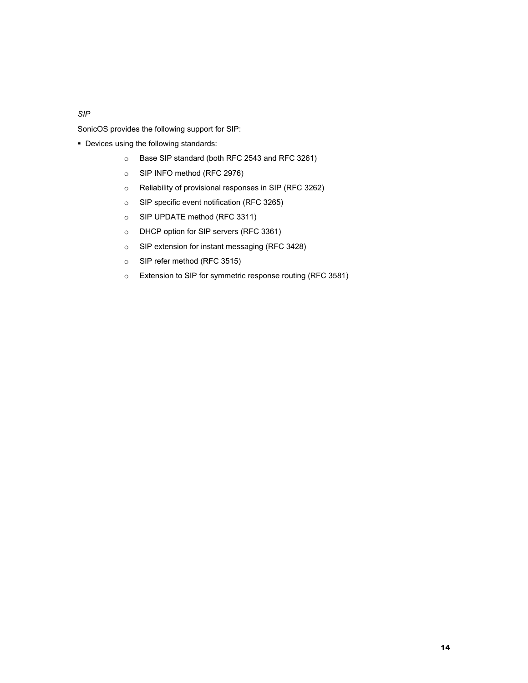*SIP* 

SonicOS provides the following support for SIP:

- Devices using the following standards:
	- o Base SIP standard (both RFC 2543 and RFC 3261)
	- o SIP INFO method (RFC 2976)
	- o Reliability of provisional responses in SIP (RFC 3262)
	- o SIP specific event notification (RFC 3265)
	- o SIP UPDATE method (RFC 3311)
	- o DHCP option for SIP servers (RFC 3361)
	- o SIP extension for instant messaging (RFC 3428)
	- o SIP refer method (RFC 3515)
	- o Extension to SIP for symmetric response routing (RFC 3581)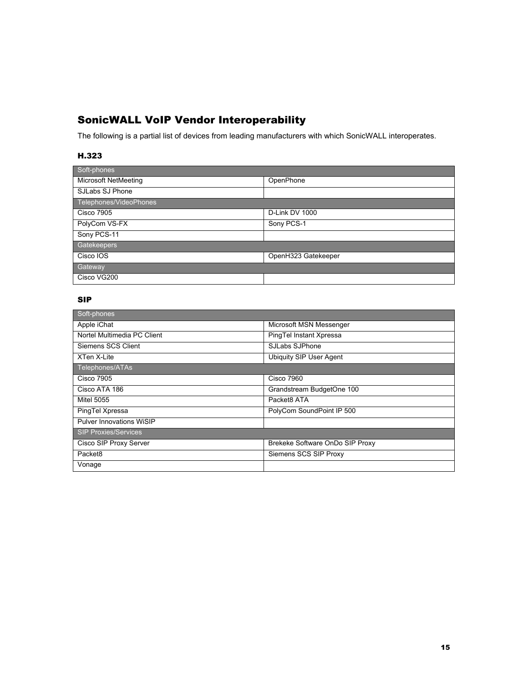# SonicWALL VoIP Vendor Interoperability

The following is a partial list of devices from leading manufacturers with which SonicWALL interoperates.

## H.323

| Soft-phones                 |                     |  |
|-----------------------------|---------------------|--|
| <b>Microsoft NetMeeting</b> | OpenPhone           |  |
| SJLabs SJ Phone             |                     |  |
| Telephones/VideoPhones      |                     |  |
| <b>Cisco 7905</b>           | D-Link DV 1000      |  |
| PolyCom VS-FX               | Sony PCS-1          |  |
| Sony PCS-11                 |                     |  |
| Gatekeepers                 |                     |  |
| Cisco IOS                   | OpenH323 Gatekeeper |  |
| <b>Gateway</b>              |                     |  |
| Cisco VG200                 |                     |  |

## SIP

| Soft-phones                 |                                 |
|-----------------------------|---------------------------------|
| Apple iChat                 | Microsoft MSN Messenger         |
| Nortel Multimedia PC Client | PingTel Instant Xpressa         |
| Siemens SCS Client          | SJLabs SJPhone                  |
| XTen X-Lite                 | Ubiquity SIP User Agent         |
| Telephones/ATAs             |                                 |
| <b>Cisco 7905</b>           | <b>Cisco 7960</b>               |
| Cisco ATA 186               | Grandstream BudgetOne 100       |
| <b>Mitel 5055</b>           | Packet8 ATA                     |
| PingTel Xpressa             | PolyCom SoundPoint IP 500       |
| Pulver Innovations WiSIP    |                                 |
| <b>SIP Proxies/Services</b> |                                 |
| Cisco SIP Proxy Server      | Brekeke Software OnDo SIP Proxy |
| Packet <sub>8</sub>         | Siemens SCS SIP Proxy           |
| Vonage                      |                                 |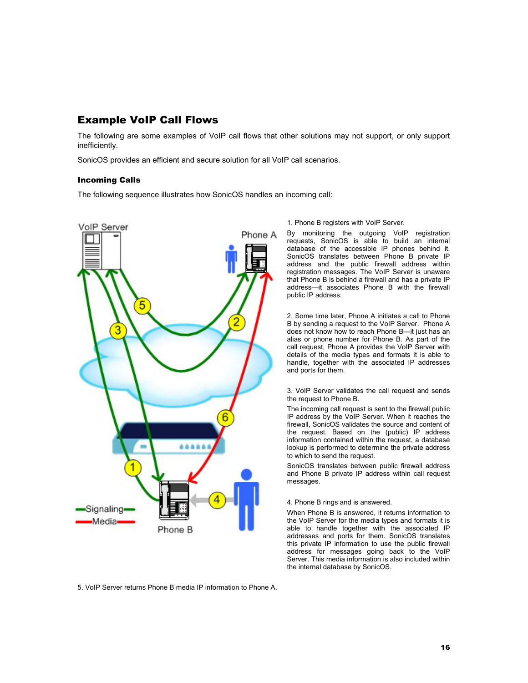# Example VoIP Call Flows

The following are some examples of VoIP call flows that other solutions may not support, or only support inefficiently.

SonicOS provides an efficient and secure solution for all VoIP call scenarios.

#### Incoming Calls

The following sequence illustrates how SonicOS handles an incoming call:



#### 1. Phone B registers with VoIP Server.

By monitoring the outgoing VoIP registration requests, SonicOS is able to build an internal database of the accessible IP phones behind it. SonicOS translates between Phone B private IP address and the public firewall address within registration messages. The VoIP Server is unaware that Phone B is behind a firewall and has a private IP address—it associates Phone B with the firewall public IP address.

2. Some time later, Phone A initiates a call to Phone B by sending a request to the VoIP Server. Phone A does not know how to reach Phone B—it just has an alias or phone number for Phone B. As part of the call request, Phone A provides the VoIP Server with details of the media types and formats it is able to handle, together with the associated IP addresses and ports for them.

3. VoIP Server validates the call request and sends the request to Phone B.

The incoming call request is sent to the firewall public IP address by the VoIP Server. When it reaches the firewall, SonicOS validates the source and content of the request. Based on the (public) IP address information contained within the request, a database lookup is performed to determine the private address to which to send the request.

SonicOS translates between public firewall address and Phone B private IP address within call request messages.

#### 4. Phone B rings and is answered.

When Phone B is answered, it returns information to the VoIP Server for the media types and formats it is able to handle together with the associated IP addresses and ports for them. SonicOS translates this private IP information to use the public firewall address for messages going back to the VoIP Server. This media information is also included within the internal database by SonicOS.

5. VoIP Server returns Phone B media IP information to Phone A.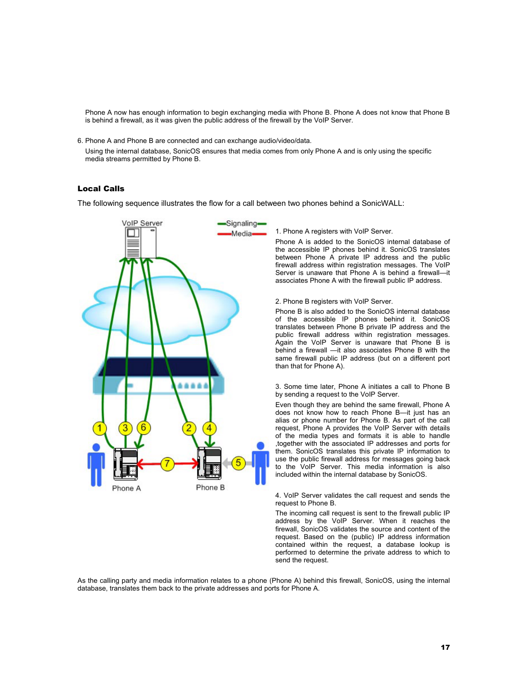Phone A now has enough information to begin exchanging media with Phone B. Phone A does not know that Phone B is behind a firewall, as it was given the public address of the firewall by the VoIP Server.

6. Phone A and Phone B are connected and can exchange audio/video/data.

Using the internal database, SonicOS ensures that media comes from only Phone A and is only using the specific media streams permitted by Phone B.

#### Local Calls

The following sequence illustrates the flow for a call between two phones behind a SonicWALL:



1. Phone A registers with VoIP Server.

Phone A is added to the SonicOS internal database of the accessible IP phones behind it. SonicOS translates between Phone A private IP address and the public firewall address within registration messages. The VoIP Server is unaware that Phone A is behind a firewall—it associates Phone A with the firewall public IP address.

2. Phone B registers with VoIP Server.

Phone B is also added to the SonicOS internal database of the accessible IP phones behind it. SonicOS translates between Phone B private IP address and the public firewall address within registration messages. Again the VoIP Server is unaware that Phone B is behind a firewall —it also associates Phone B with the same firewall public IP address (but on a different port than that for Phone A).

#### 3. Some time later, Phone A initiates a call to Phone B by sending a request to the VoIP Server.

Even though they are behind the same firewall, Phone A does not know how to reach Phone B—it just has an alias or phone number for Phone B. As part of the call request, Phone A provides the VoIP Server with details of the media types and formats it is able to handle ,together with the associated IP addresses and ports for them. SonicOS translates this private IP information to use the public firewall address for messages going back to the VoIP Server. This media information is also included within the internal database by SonicOS.

4. VoIP Server validates the call request and sends the request to Phone B.

The incoming call request is sent to the firewall public IP address by the VoIP Server. When it reaches the firewall, SonicOS validates the source and content of the request. Based on the (public) IP address information contained within the request, a database lookup is performed to determine the private address to which to send the request.

As the calling party and media information relates to a phone (Phone A) behind this firewall, SonicOS, using the internal database, translates them back to the private addresses and ports for Phone A.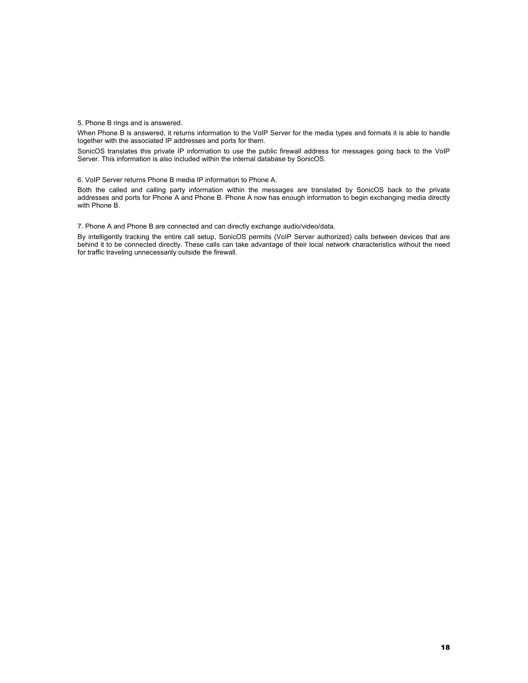5. Phone B rings and is answered.

When Phone B is answered, it returns information to the VoIP Server for the media types and formats it is able to handle together with the associated IP addresses and ports for them.

SonicOS translates this private IP information to use the public firewall address for messages going back to the VoIP Server. This information is also included within the internal database by SonicOS.

6. VoIP Server returns Phone B media IP information to Phone A.

Both the called and calling party information within the messages are translated by SonicOS back to the private addresses and ports for Phone A and Phone B. Phone A now has enough information to begin exchanging media directly with Phone B.

7. Phone A and Phone B are connected and can directly exchange audio/video/data.

By intelligently tracking the entire call setup, SonicOS permits (VoIP Server authorized) calls between devices that are behind it to be connected directly. These calls can take advantage of their local network characteristics without the need for traffic traveling unnecessarily outside the firewall.